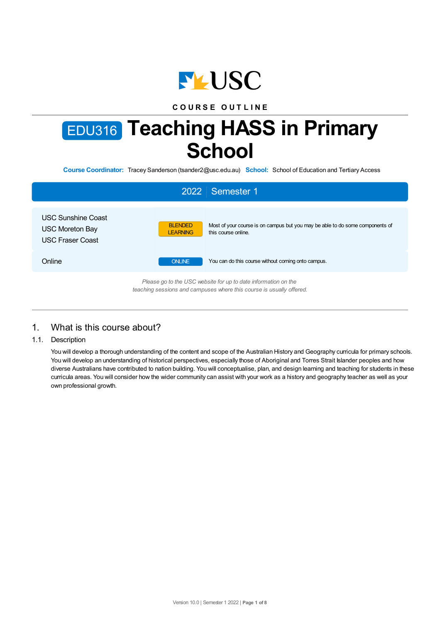

# **C O U R S E O U T L I N E**

# EDU316 **Teaching HASS in Primary School**

**Course Coordinator:** Tracey Sanderson (tsander2@usc.edu.au) **School:** School of Education and Tertiary Access

|                                                                  | 2022   Semester 1                                                                                                                         |
|------------------------------------------------------------------|-------------------------------------------------------------------------------------------------------------------------------------------|
| USC Sunshine Coast<br>USC Moreton Bay<br><b>USC Fraser Coast</b> | Most of your course is on campus but you may be able to do some components of<br><b>BLENDED</b><br>this course online.<br><b>LEARNING</b> |
| Online                                                           | You can do this course without coming onto campus.<br><b>ONLINE</b>                                                                       |
|                                                                  | Please go to the USC website for up to date information on the<br>teaching sessions and campuses where this course is usually offered.    |

# 1. What is this course about?

1.1. Description

You will develop a thorough understanding of the content and scope of the Australian History and Geography curricula for primary schools. You will develop an understanding of historical perspectives, especially those of Aboriginal and Torres Strait Islander peoples and how diverse Australians have contributed to nation building. You will conceptualise, plan, and design learning and teaching for students in these curricula areas. You will consider how the wider community can assist with your work as a history and geography teacher as well as your own professional growth.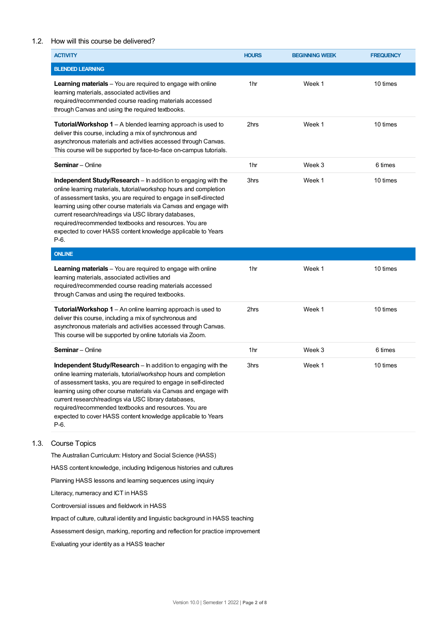## 1.2. How will this course be delivered?

| <b>ACTIVITY</b>                                                                                                                                                                                                                                                                                                                                                                                                                                                     | <b>HOURS</b>    | <b>BEGINNING WEEK</b> | <b>FREQUENCY</b> |
|---------------------------------------------------------------------------------------------------------------------------------------------------------------------------------------------------------------------------------------------------------------------------------------------------------------------------------------------------------------------------------------------------------------------------------------------------------------------|-----------------|-----------------------|------------------|
| <b>BLENDED LEARNING</b>                                                                                                                                                                                                                                                                                                                                                                                                                                             |                 |                       |                  |
| <b>Learning materials</b> - You are required to engage with online<br>learning materials, associated activities and<br>required/recommended course reading materials accessed<br>through Canvas and using the required textbooks.                                                                                                                                                                                                                                   | 1hr             | Week 1                | 10 times         |
| <b>Tutorial/Workshop 1</b> – A blended learning approach is used to<br>deliver this course, including a mix of synchronous and<br>asynchronous materials and activities accessed through Canvas.<br>This course will be supported by face-to-face on-campus tutorials.                                                                                                                                                                                              | 2hrs            | Week 1                | 10 times         |
| <b>Seminar</b> - Online                                                                                                                                                                                                                                                                                                                                                                                                                                             | 1hr             | Week 3                | 6 times          |
| Independent Study/Research - In addition to engaging with the<br>online learning materials, tutorial/workshop hours and completion<br>of assessment tasks, you are required to engage in self-directed<br>learning using other course materials via Canvas and engage with<br>current research/readings via USC library databases,<br>required/recommended textbooks and resources. You are<br>expected to cover HASS content knowledge applicable to Years<br>P-6. | 3hrs            | Week 1                | 10 times         |
| <b>ONLINE</b>                                                                                                                                                                                                                                                                                                                                                                                                                                                       |                 |                       |                  |
| <b>Learning materials</b> - You are required to engage with online<br>learning materials, associated activities and<br>required/recommended course reading materials accessed<br>through Canvas and using the required textbooks.                                                                                                                                                                                                                                   | 1hr             | Week 1                | 10 times         |
| <b>Tutorial/Workshop 1</b> – An online learning approach is used to<br>deliver this course, including a mix of synchronous and<br>asynchronous materials and activities accessed through Canvas.<br>This course will be supported by online tutorials via Zoom.                                                                                                                                                                                                     | 2hrs            | Week 1                | 10 times         |
| <b>Seminar</b> - Online                                                                                                                                                                                                                                                                                                                                                                                                                                             | 1 <sub>hr</sub> | Week 3                | 6 times          |
| Independent Study/Research - In addition to engaging with the<br>online learning materials, tutorial/workshop hours and completion<br>of assessment tasks, you are required to engage in self-directed<br>learning using other course materials via Canvas and engage with<br>current research/readings via USC library databases,<br>required/recommended textbooks and resources. You are<br>expected to cover HASS content knowledge applicable to Years<br>P-6. | 3hrs            | Week 1                | 10 times         |
| <b>Course Topics</b>                                                                                                                                                                                                                                                                                                                                                                                                                                                |                 |                       |                  |

The Australian Curriculum: History and Social Science (HASS)

HASS content knowledge, including Indigenous histories and cultures

Planning HASS lessons and learning sequences using inquiry

Literacy, numeracy and ICT in HASS

 $1.3.$ 

Controversial issues and fieldwork in HASS

Impact of culture, cultural identity and linguistic background in HASS teaching

Assessment design, marking, reporting and reflection for practice improvement

Evaluating your identity as a HASS teacher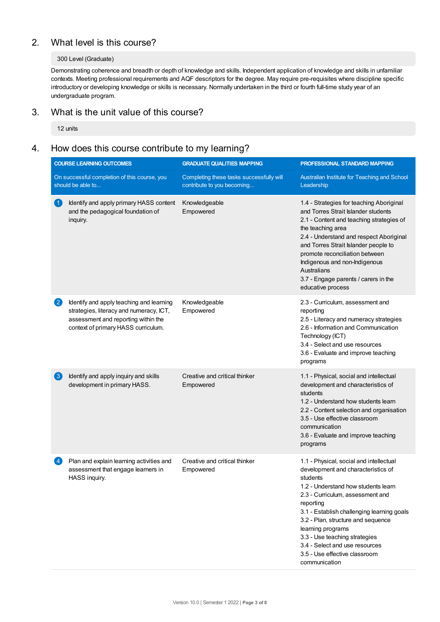# 2. What level is this course?

## 300 Level (Graduate)

Demonstrating coherence and breadth or depth of knowledge and skills. Independent application of knowledge and skills in unfamiliar contexts. Meeting professional requirements and AQF descriptors for the degree. May require pre-requisites where discipline specific introductory or developing knowledge or skills is necessary. Normally undertaken in the third or fourth full-time study year of an undergraduate program.

# 3. What is the unit value of this course?

12 units

# 4. How does this course contribute to my learning?

| <b>COURSE LEARNING OUTCOMES</b>                                   |                                                                                                                                                                   | <b>GRADUATE QUALITIES MAPPING</b>                                      | PROFESSIONAL STANDARD MAPPING                                                                                                                                                                                                                                                                                                                                                                                   |  |
|-------------------------------------------------------------------|-------------------------------------------------------------------------------------------------------------------------------------------------------------------|------------------------------------------------------------------------|-----------------------------------------------------------------------------------------------------------------------------------------------------------------------------------------------------------------------------------------------------------------------------------------------------------------------------------------------------------------------------------------------------------------|--|
| On successful completion of this course, you<br>should be able to |                                                                                                                                                                   | Completing these tasks successfully will<br>contribute to you becoming | Australian Institute for Teaching and School<br>Leadership                                                                                                                                                                                                                                                                                                                                                      |  |
| $\left( 1\right)$                                                 | Identify and apply primary HASS content<br>and the pedagogical foundation of<br>inquiry.                                                                          | Knowledgeable<br>Empowered                                             | 1.4 - Strategies for teaching Aboriginal<br>and Torres Strait Islander students<br>2.1 - Content and teaching strategies of<br>the teaching area<br>2.4 - Understand and respect Aboriginal<br>and Torres Strait Islander people to<br>promote reconciliation between<br>Indigenous and non-Indigenous<br>Australians<br>3.7 - Engage parents / carers in the<br>educative process                              |  |
| 2                                                                 | Identify and apply teaching and learning<br>strategies, literacy and numeracy, ICT,<br>assessment and reporting within the<br>context of primary HASS curriculum. | Knowledgeable<br>Empowered                                             | 2.3 - Curriculum, assessment and<br>reporting<br>2.5 - Literacy and numeracy strategies<br>2.6 - Information and Communication<br>Technology (ICT)<br>3.4 - Select and use resources<br>3.6 - Evaluate and improve teaching<br>programs                                                                                                                                                                         |  |
| $\bf(3)$                                                          | Identify and apply inquiry and skills<br>development in primary HASS.                                                                                             | Creative and critical thinker<br>Empowered                             | 1.1 - Physical, social and intellectual<br>development and characteristics of<br>students<br>1.2 - Understand how students learn<br>2.2 - Content selection and organisation<br>3.5 - Use effective classroom<br>communication<br>3.6 - Evaluate and improve teaching<br>programs                                                                                                                               |  |
| $\left( 4\right)$                                                 | Plan and explain learning activities and<br>assessment that engage learners in<br>HASS inquiry.                                                                   | Creative and critical thinker<br>Empowered                             | 1.1 - Physical, social and intellectual<br>development and characteristics of<br>students<br>1.2 - Understand how students learn<br>2.3 - Curriculum, assessment and<br>reporting<br>3.1 - Establish challenging learning goals<br>3.2 - Plan, structure and sequence<br>learning programs<br>3.3 - Use teaching strategies<br>3.4 - Select and use resources<br>3.5 - Use effective classroom<br>communication |  |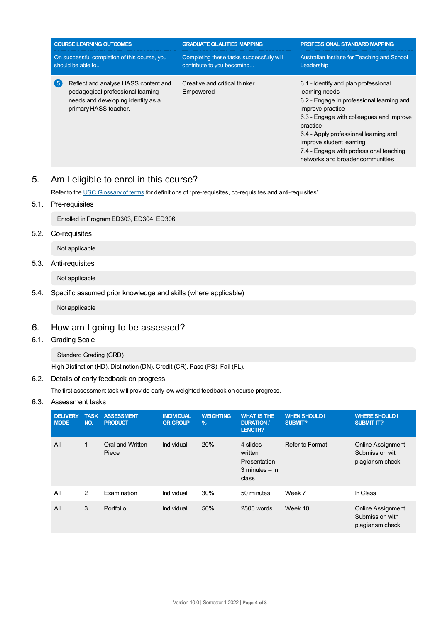| <b>COURSE LEARNING OUTCOMES</b><br>On successful completion of this course, you<br>should be able to                                           |  | <b>GRADUATE QUALITIES MAPPING</b><br>Completing these tasks successfully will | <b>PROFESSIONAL STANDARD MAPPING</b><br>Australian Institute for Teaching and School                                                                                                                                                                                                                                                |  |  |
|------------------------------------------------------------------------------------------------------------------------------------------------|--|-------------------------------------------------------------------------------|-------------------------------------------------------------------------------------------------------------------------------------------------------------------------------------------------------------------------------------------------------------------------------------------------------------------------------------|--|--|
|                                                                                                                                                |  | contribute to you becoming                                                    | Leadership                                                                                                                                                                                                                                                                                                                          |  |  |
| (5<br>Reflect and analyse HASS content and<br>pedagogical professional learning<br>needs and developing identity as a<br>primary HASS teacher. |  | Creative and critical thinker<br>Empowered                                    | 6.1 - Identify and plan professional<br>learning needs<br>6.2 - Engage in professional learning and<br>improve practice<br>6.3 - Engage with colleagues and improve<br>practice<br>6.4 - Apply professional learning and<br>improve student learning<br>7.4 - Engage with professional teaching<br>networks and broader communities |  |  |

# 5. Am Ieligible to enrol in this course?

Refer to the USC [Glossary](https://www.usc.edu.au/about/policies-and-procedures/glossary-of-terms-for-policy-and-procedures) of terms for definitions of "pre-requisites, co-requisites and anti-requisites".

## 5.1. Pre-requisites

Enrolled in Program ED303, ED304, ED306

5.2. Co-requisites

Not applicable

5.3. Anti-requisites

Not applicable

## 5.4. Specific assumed prior knowledge and skills (where applicable)

Not applicable

# 6. How am Igoing to be assessed?

6.1. Grading Scale

Standard Grading (GRD)

High Distinction (HD), Distinction (DN), Credit (CR), Pass (PS), Fail (FL).

## 6.2. Details of early feedback on progress

The first assessment task will provide early low weighted feedback on course progress.

## 6.3. Assessment tasks

| <b>DELIVERY</b><br><b>MODE</b> | <b>TASK</b><br>NO. | <b>ASSESSMENT</b><br><b>PRODUCT</b> | <b>INDIVIDUAL</b><br><b>OR GROUP</b> | <b>WEIGHTING</b><br>$\%$ | <b>WHAT IS THE</b><br><b>DURATION /</b><br><b>LENGTH?</b>          | <b>WHEN SHOULD I</b><br>SUBMIT? | <b>WHERE SHOULD I</b><br><b>SUBMIT IT?</b>                      |
|--------------------------------|--------------------|-------------------------------------|--------------------------------------|--------------------------|--------------------------------------------------------------------|---------------------------------|-----------------------------------------------------------------|
| All                            | $\mathbf{1}$       | Oral and Written<br>Piece           | Individual                           | 20%                      | 4 slides<br>written<br>Presentation<br>$3$ minutes $-$ in<br>class | Refer to Format                 | <b>Online Assignment</b><br>Submission with<br>plagiarism check |
| All                            | $\overline{2}$     | Examination                         | Individual                           | 30%                      | 50 minutes                                                         | Week 7                          | In Class                                                        |
| All                            | 3                  | Portfolio                           | Individual                           | 50%                      | 2500 words                                                         | Week 10                         | <b>Online Assignment</b><br>Submission with<br>plagiarism check |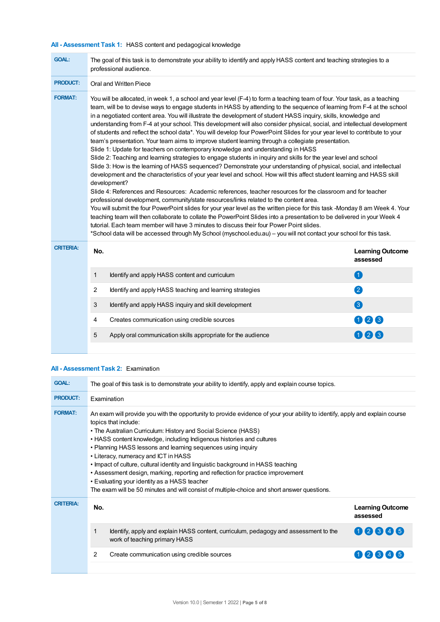# **All - Assessment Task 1:** HASS content and pedagogical knowledge

| <b>GOAL:</b>     | The goal of this task is to demonstrate your ability to identify and apply HASS content and teaching strategies to a<br>professional audience.                                                                                                                                                                                                                                                                                                                                                                                                                                                                                                                                                                                                                                                                                                                                                                                                                                                                                                                                                                                                                                                                                                                                                                                                                                                                                                                                                                                                                                                                                                                                                                                                                                                                                                                                                              |                                                              |     |  |  |  |
|------------------|-------------------------------------------------------------------------------------------------------------------------------------------------------------------------------------------------------------------------------------------------------------------------------------------------------------------------------------------------------------------------------------------------------------------------------------------------------------------------------------------------------------------------------------------------------------------------------------------------------------------------------------------------------------------------------------------------------------------------------------------------------------------------------------------------------------------------------------------------------------------------------------------------------------------------------------------------------------------------------------------------------------------------------------------------------------------------------------------------------------------------------------------------------------------------------------------------------------------------------------------------------------------------------------------------------------------------------------------------------------------------------------------------------------------------------------------------------------------------------------------------------------------------------------------------------------------------------------------------------------------------------------------------------------------------------------------------------------------------------------------------------------------------------------------------------------------------------------------------------------------------------------------------------------|--------------------------------------------------------------|-----|--|--|--|
| <b>PRODUCT:</b>  | Oral and Written Piece                                                                                                                                                                                                                                                                                                                                                                                                                                                                                                                                                                                                                                                                                                                                                                                                                                                                                                                                                                                                                                                                                                                                                                                                                                                                                                                                                                                                                                                                                                                                                                                                                                                                                                                                                                                                                                                                                      |                                                              |     |  |  |  |
| <b>FORMAT:</b>   | You will be allocated, in week 1, a school and year level (F-4) to form a teaching team of four. Your task, as a teaching<br>team, will be to devise ways to engage students in HASS by attending to the sequence of learning from F-4 at the school<br>in a negotiated content area. You will illustrate the development of student HASS inquiry, skills, knowledge and<br>understanding from F-4 at your school. This development will also consider physical, social, and intellectual development<br>of students and reflect the school data*. You will develop four PowerPoint Slides for your year level to contribute to your<br>team's presentation. Your team aims to improve student learning through a collegiate presentation.<br>Slide 1: Update for teachers on contemporary knowledge and understanding in HASS<br>Slide 2: Teaching and learning strategies to engage students in inquiry and skills for the year level and school<br>Slide 3: How is the learning of HASS sequenced? Demonstrate your understanding of physical, social, and intellectual<br>development and the characteristics of your year level and school. How will this affect student learning and HASS skill<br>development?<br>Slide 4: References and Resources: Academic references, teacher resources for the classroom and for teacher<br>professional development, community/state resources/links related to the content area.<br>You will submit the four PowerPoint slides for your year level as the written piece for this task -Monday 8 am Week 4. Your<br>teaching team will then collaborate to collate the PowerPoint Slides into a presentation to be delivered in your Week 4<br>tutorial. Each team member will have 3 minutes to discuss their four Power Point slides.<br>*School data will be accessed through My School (myschool.edu.au) - you will not contact your school for this task. |                                                              |     |  |  |  |
| <b>CRITERIA:</b> | No.<br><b>Learning Outcome</b><br>assessed                                                                                                                                                                                                                                                                                                                                                                                                                                                                                                                                                                                                                                                                                                                                                                                                                                                                                                                                                                                                                                                                                                                                                                                                                                                                                                                                                                                                                                                                                                                                                                                                                                                                                                                                                                                                                                                                  |                                                              |     |  |  |  |
|                  | 1                                                                                                                                                                                                                                                                                                                                                                                                                                                                                                                                                                                                                                                                                                                                                                                                                                                                                                                                                                                                                                                                                                                                                                                                                                                                                                                                                                                                                                                                                                                                                                                                                                                                                                                                                                                                                                                                                                           | Identify and apply HASS content and curriculum               | 0   |  |  |  |
|                  | 2                                                                                                                                                                                                                                                                                                                                                                                                                                                                                                                                                                                                                                                                                                                                                                                                                                                                                                                                                                                                                                                                                                                                                                                                                                                                                                                                                                                                                                                                                                                                                                                                                                                                                                                                                                                                                                                                                                           | Identify and apply HASS teaching and learning strategies     | 2   |  |  |  |
|                  | 3                                                                                                                                                                                                                                                                                                                                                                                                                                                                                                                                                                                                                                                                                                                                                                                                                                                                                                                                                                                                                                                                                                                                                                                                                                                                                                                                                                                                                                                                                                                                                                                                                                                                                                                                                                                                                                                                                                           | Identify and apply HASS inquiry and skill development        | 3   |  |  |  |
|                  | 4                                                                                                                                                                                                                                                                                                                                                                                                                                                                                                                                                                                                                                                                                                                                                                                                                                                                                                                                                                                                                                                                                                                                                                                                                                                                                                                                                                                                                                                                                                                                                                                                                                                                                                                                                                                                                                                                                                           | Creates communication using credible sources                 | 000 |  |  |  |
|                  | 5                                                                                                                                                                                                                                                                                                                                                                                                                                                                                                                                                                                                                                                                                                                                                                                                                                                                                                                                                                                                                                                                                                                                                                                                                                                                                                                                                                                                                                                                                                                                                                                                                                                                                                                                                                                                                                                                                                           | Apply oral communication skills appropriate for the audience | 006 |  |  |  |
|                  |                                                                                                                                                                                                                                                                                                                                                                                                                                                                                                                                                                                                                                                                                                                                                                                                                                                                                                                                                                                                                                                                                                                                                                                                                                                                                                                                                                                                                                                                                                                                                                                                                                                                                                                                                                                                                                                                                                             |                                                              |     |  |  |  |

## **All - Assessment Task 2:** Examination

| <b>GOAL:</b>     | The goal of this task is to demonstrate your ability to identify, apply and explain course topics.                                                                                                                                                                                                                                                                                                                                                                                                                                                                                                                                                                                                                             |                                                                                                                       |                                     |  |  |
|------------------|--------------------------------------------------------------------------------------------------------------------------------------------------------------------------------------------------------------------------------------------------------------------------------------------------------------------------------------------------------------------------------------------------------------------------------------------------------------------------------------------------------------------------------------------------------------------------------------------------------------------------------------------------------------------------------------------------------------------------------|-----------------------------------------------------------------------------------------------------------------------|-------------------------------------|--|--|
| <b>PRODUCT:</b>  | Examination                                                                                                                                                                                                                                                                                                                                                                                                                                                                                                                                                                                                                                                                                                                    |                                                                                                                       |                                     |  |  |
| <b>FORMAT:</b>   | An exam will provide you with the opportunity to provide evidence of your your ability to identify, apply and explain course<br>topics that include:<br>• The Australian Curriculum: History and Social Science (HASS)<br>• HASS content knowledge, including Indigenous histories and cultures<br>• Planning HASS lessons and learning sequences using inquiry<br>• Literacy, numeracy and ICT in HASS<br>• Impact of culture, cultural identity and linguistic background in HASS teaching<br>• Assessment design, marking, reporting and reflection for practice improvement<br>• Evaluating your identity as a HASS teacher<br>The exam will be 50 minutes and will consist of multiple-choice and short answer questions. |                                                                                                                       |                                     |  |  |
| <b>CRITERIA:</b> | No.                                                                                                                                                                                                                                                                                                                                                                                                                                                                                                                                                                                                                                                                                                                            |                                                                                                                       | <b>Learning Outcome</b><br>assessed |  |  |
|                  |                                                                                                                                                                                                                                                                                                                                                                                                                                                                                                                                                                                                                                                                                                                                | Identify, apply and explain HASS content, curriculum, pedagogy and assessment to the<br>work of teaching primary HASS | 00806                               |  |  |
|                  | 2                                                                                                                                                                                                                                                                                                                                                                                                                                                                                                                                                                                                                                                                                                                              | Create communication using credible sources                                                                           | 02345                               |  |  |
|                  |                                                                                                                                                                                                                                                                                                                                                                                                                                                                                                                                                                                                                                                                                                                                |                                                                                                                       |                                     |  |  |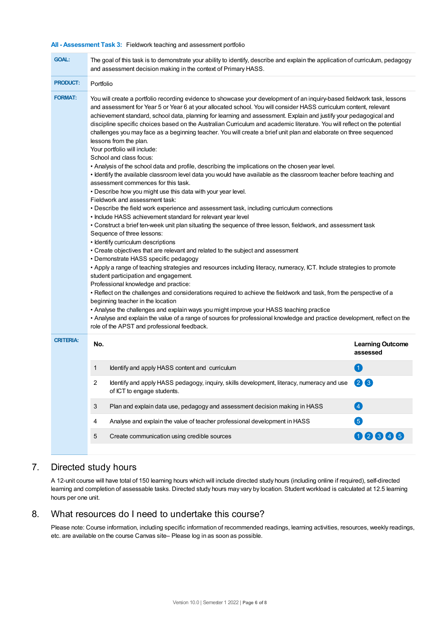## **All - Assessment Task 3:** Fieldwork teaching and assessment portfolio

| <b>GOAL:</b>     | The goal of this task is to demonstrate your ability to identify, describe and explain the application of curriculum, pedagogy<br>and assessment decision making in the context of Primary HASS.                                                                                                                                                                                                                                                                                                                                                                                                                                                                                                                                                                                                                                                                                                                                                                                                                                                                                                                                                                                                                                                                                                                                                                                                                                                                                                                                                                                                                                                                                                                                                                                                                                                                                                                                                                                                                                                                                                                                                                                                         |                         |  |  |  |  |
|------------------|----------------------------------------------------------------------------------------------------------------------------------------------------------------------------------------------------------------------------------------------------------------------------------------------------------------------------------------------------------------------------------------------------------------------------------------------------------------------------------------------------------------------------------------------------------------------------------------------------------------------------------------------------------------------------------------------------------------------------------------------------------------------------------------------------------------------------------------------------------------------------------------------------------------------------------------------------------------------------------------------------------------------------------------------------------------------------------------------------------------------------------------------------------------------------------------------------------------------------------------------------------------------------------------------------------------------------------------------------------------------------------------------------------------------------------------------------------------------------------------------------------------------------------------------------------------------------------------------------------------------------------------------------------------------------------------------------------------------------------------------------------------------------------------------------------------------------------------------------------------------------------------------------------------------------------------------------------------------------------------------------------------------------------------------------------------------------------------------------------------------------------------------------------------------------------------------------------|-------------------------|--|--|--|--|
| <b>PRODUCT:</b>  | Portfolio                                                                                                                                                                                                                                                                                                                                                                                                                                                                                                                                                                                                                                                                                                                                                                                                                                                                                                                                                                                                                                                                                                                                                                                                                                                                                                                                                                                                                                                                                                                                                                                                                                                                                                                                                                                                                                                                                                                                                                                                                                                                                                                                                                                                |                         |  |  |  |  |
| <b>FORMAT:</b>   | You will create a portfolio recording evidence to showcase your development of an inquiry-based fieldwork task, lessons<br>and assessment for Year 5 or Year 6 at your allocated school. You will consider HASS curriculum content, relevant<br>achievement standard, school data, planning for learning and assessment. Explain and justify your pedagogical and<br>discipline specific choices based on the Australian Curriculum and academic literature. You will reflect on the potential<br>challenges you may face as a beginning teacher. You will create a brief unit plan and elaborate on three sequenced<br>lessons from the plan.<br>Your portfolio will include:<br>School and class focus:<br>. Analysis of the school data and profile, describing the implications on the chosen year level.<br>• Identify the available classroom level data you would have available as the classroom teacher before teaching and<br>assessment commences for this task.<br>. Describe how you might use this data with your year level.<br>Fieldwork and assessment task:<br>• Describe the field work experience and assessment task, including curriculum connections<br>• Include HASS achievement standard for relevant year level<br>• Construct a brief ten-week unit plan situating the sequence of three lesson, fieldwork, and assessment task<br>Sequence of three lessons:<br>• Identify curriculum descriptions<br>• Create objectives that are relevant and related to the subject and assessment<br>• Demonstrate HASS specific pedagogy<br>• Apply a range of teaching strategies and resources including literacy, numeracy, ICT. Include strategies to promote<br>student participation and engagement.<br>Professional knowledge and practice:<br>• Reflect on the challenges and considerations required to achieve the fieldwork and task, from the perspective of a<br>beginning teacher in the location<br>• Analyse the challenges and explain ways you might improve your HASS teaching practice<br>• Analyse and explain the value of a range of sources for professional knowledge and practice development, reflect on the<br>role of the APST and professional feedback. |                         |  |  |  |  |
| <b>CRITERIA:</b> | No.                                                                                                                                                                                                                                                                                                                                                                                                                                                                                                                                                                                                                                                                                                                                                                                                                                                                                                                                                                                                                                                                                                                                                                                                                                                                                                                                                                                                                                                                                                                                                                                                                                                                                                                                                                                                                                                                                                                                                                                                                                                                                                                                                                                                      | <b>Learning Outcome</b> |  |  |  |  |
|                  |                                                                                                                                                                                                                                                                                                                                                                                                                                                                                                                                                                                                                                                                                                                                                                                                                                                                                                                                                                                                                                                                                                                                                                                                                                                                                                                                                                                                                                                                                                                                                                                                                                                                                                                                                                                                                                                                                                                                                                                                                                                                                                                                                                                                          | assessed                |  |  |  |  |
|                  | Identify and apply HASS content and curriculum<br>$\blacktriangleleft$<br>1                                                                                                                                                                                                                                                                                                                                                                                                                                                                                                                                                                                                                                                                                                                                                                                                                                                                                                                                                                                                                                                                                                                                                                                                                                                                                                                                                                                                                                                                                                                                                                                                                                                                                                                                                                                                                                                                                                                                                                                                                                                                                                                              |                         |  |  |  |  |
|                  | 2<br>$\left(3\right)$<br>Identify and apply HASS pedagogy, inquiry, skills development, literacy, numeracy and use<br>2<br>of ICT to engage students.<br>$\overline{\mathbf{A}}$<br>3<br>Plan and explain data use, pedagogy and assessment decision making in HASS                                                                                                                                                                                                                                                                                                                                                                                                                                                                                                                                                                                                                                                                                                                                                                                                                                                                                                                                                                                                                                                                                                                                                                                                                                                                                                                                                                                                                                                                                                                                                                                                                                                                                                                                                                                                                                                                                                                                      |                         |  |  |  |  |
|                  |                                                                                                                                                                                                                                                                                                                                                                                                                                                                                                                                                                                                                                                                                                                                                                                                                                                                                                                                                                                                                                                                                                                                                                                                                                                                                                                                                                                                                                                                                                                                                                                                                                                                                                                                                                                                                                                                                                                                                                                                                                                                                                                                                                                                          |                         |  |  |  |  |
|                  | Analyse and explain the value of teacher professional development in HASS<br>4                                                                                                                                                                                                                                                                                                                                                                                                                                                                                                                                                                                                                                                                                                                                                                                                                                                                                                                                                                                                                                                                                                                                                                                                                                                                                                                                                                                                                                                                                                                                                                                                                                                                                                                                                                                                                                                                                                                                                                                                                                                                                                                           | 6                       |  |  |  |  |
|                  | Create communication using credible sources<br>5                                                                                                                                                                                                                                                                                                                                                                                                                                                                                                                                                                                                                                                                                                                                                                                                                                                                                                                                                                                                                                                                                                                                                                                                                                                                                                                                                                                                                                                                                                                                                                                                                                                                                                                                                                                                                                                                                                                                                                                                                                                                                                                                                         | 00006                   |  |  |  |  |
|                  |                                                                                                                                                                                                                                                                                                                                                                                                                                                                                                                                                                                                                                                                                                                                                                                                                                                                                                                                                                                                                                                                                                                                                                                                                                                                                                                                                                                                                                                                                                                                                                                                                                                                                                                                                                                                                                                                                                                                                                                                                                                                                                                                                                                                          |                         |  |  |  |  |

# 7. Directed study hours

A 12-unit course will have total of 150 learning hours which will include directed study hours (including online if required), self-directed learning and completion of assessable tasks. Directed study hours may vary by location. Student workload is calculated at 12.5 learning hours per one unit.

# 8. What resources do I need to undertake this course?

Please note: Course information, including specific information of recommended readings, learning activities, resources, weekly readings, etc. are available on the course Canvas site– Please log in as soon as possible.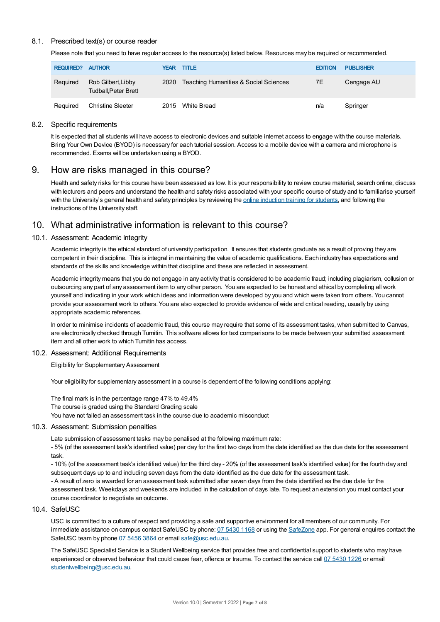## 8.1. Prescribed text(s) or course reader

Please note that you need to have regular access to the resource(s) listed below. Resources may be required or recommended.

| <b>REQUIRED?</b> | <b>AUTHOR</b>                                     | YEAR | <b>TITLE</b>                          | <b>EDITION</b> | <b>PUBLISHER</b> |
|------------------|---------------------------------------------------|------|---------------------------------------|----------------|------------------|
| Required         | Rob Gilbert, Libby<br><b>Tudball, Peter Brett</b> | 2020 | Teaching Humanities & Social Sciences | 7E             | Cengage AU       |
| Required         | Christine Sleeter                                 | 2015 | White Bread                           | n/a            | Springer         |

## 8.2. Specific requirements

It is expected that all students will have access to electronic devices and suitable internet access to engage with the course materials. Bring Your Own Device (BYOD) is necessary for each tutorial session. Access to a mobile device with a camera and microphone is recommended. Exams will be undertaken using a BYOD.

## 9. How are risks managed in this course?

Health and safety risks for this course have been assessed as low. It is your responsibility to review course material, search online, discuss with lecturers and peers and understand the health and safety risks associated with your specific course of study and to familiarise yourself with the University's general health and safety principles by reviewing the online [induction](https://online.usc.edu.au/webapps/blackboard/content/listContentEditable.jsp?content_id=_632657_1&course_id=_14432_1) training for students, and following the instructions of the University staff.

# 10. What administrative information is relevant to this course?

## 10.1. Assessment: Academic Integrity

Academic integrity is the ethical standard of university participation. It ensures that students graduate as a result of proving they are competent in their discipline. This is integral in maintaining the value of academic qualifications. Each industry has expectations and standards of the skills and knowledge within that discipline and these are reflected in assessment.

Academic integrity means that you do not engage in any activity that is considered to be academic fraud; including plagiarism, collusion or outsourcing any part of any assessment item to any other person. You are expected to be honest and ethical by completing all work yourself and indicating in your work which ideas and information were developed by you and which were taken from others. You cannot provide your assessment work to others.You are also expected to provide evidence of wide and critical reading, usually by using appropriate academic references.

In order to minimise incidents of academic fraud, this course may require that some of its assessment tasks, when submitted to Canvas, are electronically checked through Turnitin. This software allows for text comparisons to be made between your submitted assessment item and all other work to which Turnitin has access.

#### 10.2. Assessment: Additional Requirements

Eligibility for Supplementary Assessment

Your eligibility for supplementary assessment in a course is dependent of the following conditions applying:

The final mark is in the percentage range 47% to 49.4% The course is graded using the Standard Grading scale You have not failed an assessment task in the course due to academic misconduct

#### 10.3. Assessment: Submission penalties

Late submission of assessment tasks may be penalised at the following maximum rate:

- 5% (of the assessment task's identified value) per day for the first two days from the date identified as the due date for the assessment task.

- 10% (of the assessment task's identified value) for the third day - 20% (of the assessment task's identified value) for the fourth day and subsequent days up to and including seven days from the date identified as the due date for the assessment task.

- A result of zero is awarded for an assessment task submitted after seven days from the date identified as the due date for the assessment task. Weekdays and weekends are included in the calculation of days late. To request an extension you must contact your course coordinator to negotiate an outcome.

#### 10.4. SafeUSC

USC is committed to a culture of respect and providing a safe and supportive environment for all members of our community. For immediate assistance on campus contact SafeUSC by phone: 07 [5430](tel:07%205430%201168) 1168 or using the [SafeZone](https://www.safezoneapp.com) app. For general enquires contact the SafeUSC team by phone 07 [5456](tel:07%205456%203864) 3864 or email [safe@usc.edu.au](mailto:safe@usc.edu.au).

The SafeUSC Specialist Service is a Student Wellbeing service that provides free and confidential support to students who may have experienced or observed behaviour that could cause fear, offence or trauma. To contact the service call 07 [5430](tel:07%205430%201226) 1226 or email [studentwellbeing@usc.edu.au](mailto:studentwellbeing@usc.edu.au).